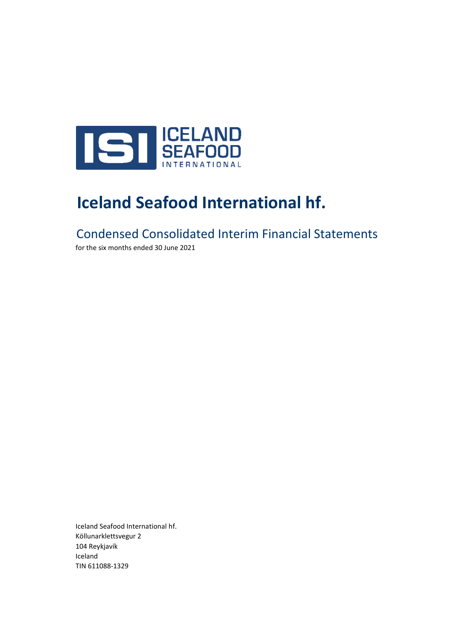

# **Iceland Seafood International hf.**

Condensed Consolidated Interim Financial Statements

for the six months ended 30 June 2021

Iceland Seafood International hf. Köllunarklettsvegur 2 104 Reykjavík Iceland TIN 611088-1329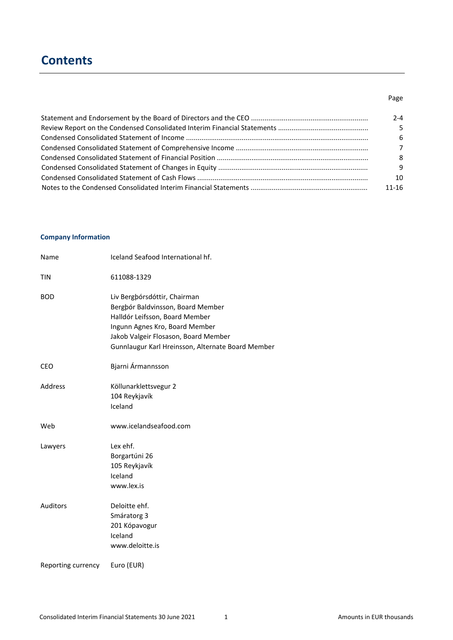# **Contents**

## Page

| 2-4            |
|----------------|
| .5.            |
| -6             |
| $\overline{7}$ |
| -8             |
| -9             |
| 10             |
| 11-16          |

### **Company Information**

| Name               | Iceland Seafood International hf.                                                                                                                                                                                                  |
|--------------------|------------------------------------------------------------------------------------------------------------------------------------------------------------------------------------------------------------------------------------|
| <b>TIN</b>         | 611088-1329                                                                                                                                                                                                                        |
| <b>BOD</b>         | Liv Bergþórsdóttir, Chairman<br>Bergbór Baldvinsson, Board Member<br>Halldór Leifsson, Board Member<br>Ingunn Agnes Kro, Board Member<br>Jakob Valgeir Flosason, Board Member<br>Gunnlaugur Karl Hreinsson, Alternate Board Member |
| CEO                | Bjarni Ármannsson                                                                                                                                                                                                                  |
| Address            | Köllunarklettsvegur 2<br>104 Reykjavík<br>Iceland                                                                                                                                                                                  |
| Web                | www.icelandseafood.com                                                                                                                                                                                                             |
| Lawyers            | Lex ehf.<br>Borgartúni 26<br>105 Reykjavík<br>Iceland<br>www.lex.is                                                                                                                                                                |
| <b>Auditors</b>    | Deloitte ehf.<br>Smáratorg 3<br>201 Kópavogur<br>Iceland<br>www.deloitte.is                                                                                                                                                        |
| Reporting currency | Euro (EUR)                                                                                                                                                                                                                         |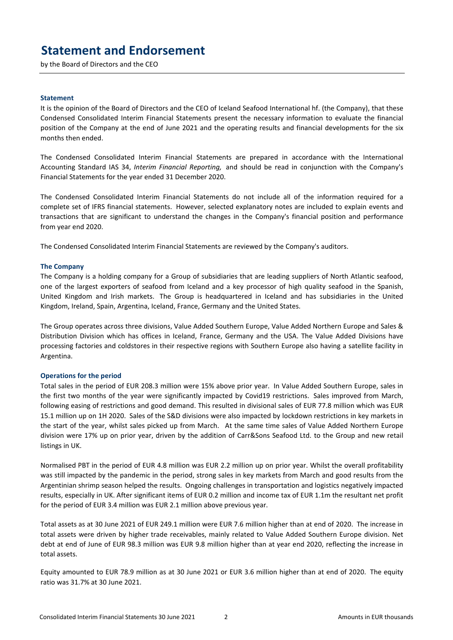# **Statement and Endorsement**

by the Board of Directors and the CEO

#### **Statement**

It is the opinion of the Board of Directors and the CEO of Iceland Seafood International hf. (the Company), that these Condensed Consolidated Interim Financial Statements present the necessary information to evaluate the financial position of the Company at the end of June 2021 and the operating results and financial developments for the six months then ended.

The Condensed Consolidated Interim Financial Statements are prepared in accordance with the International Accounting Standard IAS 34, *Interim Financial Reporting,* and should be read in conjunction with the Company's Financial Statements for the year ended 31 December 2020.

The Condensed Consolidated Interim Financial Statements do not include all of the information required for a complete set of IFRS financial statements. However, selected explanatory notes are included to explain events and transactions that are significant to understand the changes in the Company's financial position and performance from year end 2020.

The Condensed Consolidated Interim Financial Statements are reviewed by the Company's auditors.

#### **The Company**

The Company is a holding company for a Group of subsidiaries that are leading suppliers of North Atlantic seafood, one of the largest exporters of seafood from Iceland and a key processor of high quality seafood in the Spanish, United Kingdom and Irish markets. The Group is headquartered in Iceland and has subsidiaries in the United Kingdom, Ireland, Spain, Argentina, Iceland, France, Germany and the United States.

The Group operates across three divisions, Value Added Southern Europe, Value Added Northern Europe and Sales & Distribution Division which has offices in Iceland, France, Germany and the USA. The Value Added Divisions have processing factories and coldstores in their respective regions with Southern Europe also having a satellite facility in Argentina.

#### **Operations for the period**

Total sales in the period of EUR 208.3 million were 15% above prior year. In Value Added Southern Europe, sales in the first two months of the year were significantly impacted by Covid19 restrictions. Sales improved from March, following easing of restrictions and good demand. This resulted in divisional sales of EUR 77.8 million which was EUR 15.1 million up on 1H 2020. Sales of the S&D divisions were also impacted by lockdown restrictions in key markets in the start of the year, whilst sales picked up from March. At the same time sales of Value Added Northern Europe division were 17% up on prior year, driven by the addition of Carr&Sons Seafood Ltd. to the Group and new retail listings in UK.

Normalised PBT in the period of EUR 4.8 million was EUR 2.2 million up on prior year. Whilst the overall profitability was still impacted by the pandemic in the period, strong sales in key markets from March and good results from the Argentinian shrimp season helped the results. Ongoing challenges in transportation and logistics negatively impacted results, especially in UK. After significant items of EUR 0.2 million and income tax of EUR 1.1m the resultant net profit for the period of EUR 3.4 million was EUR 2.1 million above previous year.

Total assets as at 30 June 2021 of EUR 249.1 million were EUR 7.6 million higher than at end of 2020. The increase in total assets were driven by higher trade receivables, mainly related to Value Added Southern Europe division. Net debt at end of June of EUR 98.3 million was EUR 9.8 million higher than at year end 2020, reflecting the increase in total assets.

Equity amounted to EUR 78.9 million as at 30 June 2021 or EUR 3.6 million higher than at end of 2020. The equity ratio was 31.7% at 30 June 2021.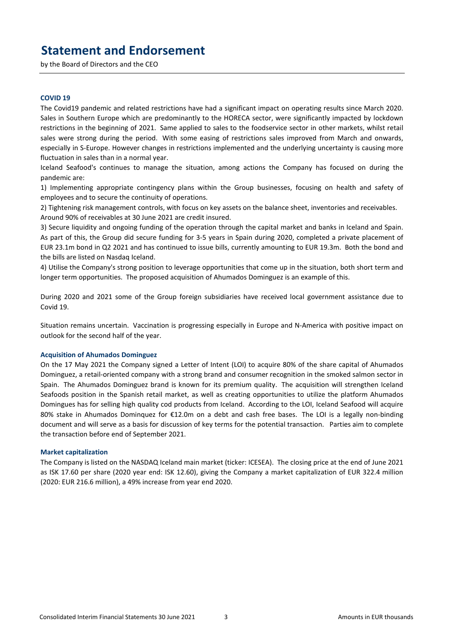# **Statement and Endorsement**

by the Board of Directors and the CEO

#### **COVID 19**

The Covid19 pandemic and related restrictions have had a significant impact on operating results since March 2020. Sales in Southern Europe which are predominantly to the HORECA sector, were significantly impacted by lockdown restrictions in the beginning of 2021. Same applied to sales to the foodservice sector in other markets, whilst retail sales were strong during the period. With some easing of restrictions sales improved from March and onwards, especially in S-Europe. However changes in restrictions implemented and the underlying uncertainty is causing more fluctuation in sales than in a normal year.

Iceland Seafood's continues to manage the situation, among actions the Company has focused on during the pandemic are:

1) Implementing appropriate contingency plans within the Group businesses, focusing on health and safety of employees and to secure the continuity of operations.

2) Tightening risk management controls, with focus on key assets on the balance sheet, inventories and receivables. Around 90% of receivables at 30 June 2021 are credit insured.

3) Secure liquidity and ongoing funding of the operation through the capital market and banks in Iceland and Spain. As part of this, the Group did secure funding for 3-5 years in Spain during 2020, completed a private placement of EUR 23.1m bond in Q2 2021 and has continued to issue bills, currently amounting to EUR 19.3m. Both the bond and the bills are listed on Nasdaq Iceland.

4) Utilise the Company's strong position to leverage opportunities that come up in the situation, both short term and longer term opportunities. The proposed acquisition of Ahumados Dominguez is an example of this.

During 2020 and 2021 some of the Group foreign subsidiaries have received local government assistance due to Covid 19.

Situation remains uncertain. Vaccination is progressing especially in Europe and N-America with positive impact on outlook for the second half of the year.

#### **Acquisition of Ahumados Dominguez**

On the 17 May 2021 the Company signed a Letter of Intent (LOI) to acquire 80% of the share capital of Ahumados Dominguez, a retail-oriented company with a strong brand and consumer recognition in the smoked salmon sector in Spain. The Ahumados Dominguez brand is known for its premium quality. The acquisition will strengthen Iceland Seafoods position in the Spanish retail market, as well as creating opportunities to utilize the platform Ahumados Domingues has for selling high quality cod products from Iceland. According to the LOI, Iceland Seafood will acquire 80% stake in Ahumados Dominquez for €12.0m on a debt and cash free bases. The LOI is a legally non-binding document and will serve as a basis for discussion of key terms for the potential transaction. Parties aim to complete the transaction before end of September 2021.

### **Market capitalization**

The Company is listed on the NASDAQ Iceland main market (ticker: ICESEA). The closing price at the end of June 2021 as ISK 17.60 per share (2020 year end: ISK 12.60), giving the Company a market capitalization of EUR 322.4 million (2020: EUR 216.6 million), a 49% increase from year end 2020.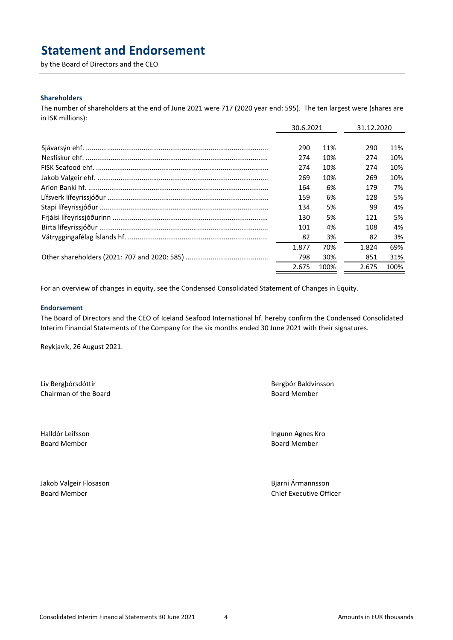# **Statement and Endorsement**

by the Board of Directors and the CEO

### **Shareholders**

The number of shareholders at the end of June 2021 were 717 (2020 year end: 595). The ten largest were (shares are in ISK millions):

| 30.6.2021 |      | 31.12.2020 |      |
|-----------|------|------------|------|
|           |      |            |      |
| 290       | 11%  | 290        | 11%  |
| 274       | 10%  | 274        | 10%  |
| 274       | 10%  | 274        | 10%  |
| 269       | 10%  | 269        | 10%  |
| 164       | 6%   | 179        | 7%   |
| 159       | 6%   | 128        | 5%   |
| 134       | 5%   | 99         | 4%   |
| 130       | 5%   | 121        | 5%   |
| 101       | 4%   | 108        | 4%   |
| 82        | 3%   | 82         | 3%   |
| 1.877     | 70%  | 1.824      | 69%  |
| 798       | 30%  | 851        | 31%  |
| 2.675     | 100% | 2.675      | 100% |

For an overview of changes in equity, see the Condensed Consolidated Statement of Changes in Equity.

### **Endorsement**

The Board of Directors and the CEO of Iceland Seafood International hf. hereby confirm the Condensed Consolidated Interim Financial Statements of the Company for the six months ended 30 June 2021 with their signatures.

Reykjavík, 26 August 2021.

Liv Bergþórsdóttir **Berghórsdóttir** Berghór Baldvinsson **Chairman of the Board Chairman of the Board Member** 

Board Member **Board Member Board Member Board Member** 

Halldór Leifsson Ingunn Agnes Kro

Jakob Valgeir Flosason **Bilandia Byzantia Armannisson** Bjarni Ármannsson

Board Member Chief Executive Officer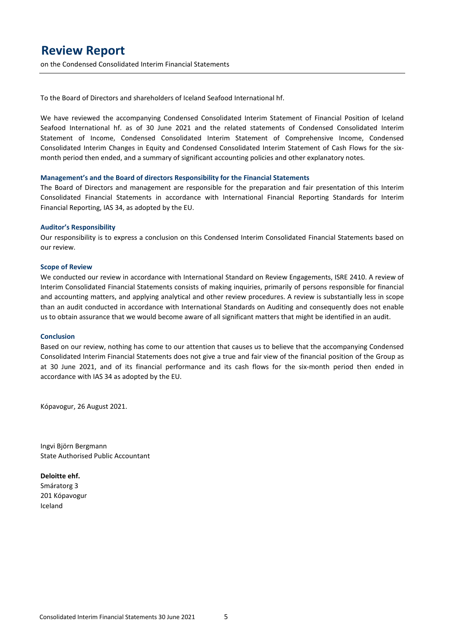## **Review Report**

on the Condensed Consolidated Interim Financial Statements

To the Board of Directors and shareholders of Iceland Seafood International hf.

We have reviewed the accompanying Condensed Consolidated Interim Statement of Financial Position of Iceland Seafood International hf. as of 30 June 2021 and the related statements of Condensed Consolidated Interim Statement of Income, Condensed Consolidated Interim Statement of Comprehensive Income, Condensed Consolidated Interim Changes in Equity and Condensed Consolidated Interim Statement of Cash Flows for the sixmonth period then ended, and a summary of significant accounting policies and other explanatory notes.

#### **Management's and the Board of directors Responsibility for the Financial Statements**

The Board of Directors and management are responsible for the preparation and fair presentation of this Interim Consolidated Financial Statements in accordance with International Financial Reporting Standards for Interim Financial Reporting, IAS 34, as adopted by the EU.

#### **Auditor's Responsibility**

Our responsibility is to express a conclusion on this Condensed Interim Consolidated Financial Statements based on our review.

#### **Scope of Review**

We conducted our review in accordance with International Standard on Review Engagements, ISRE 2410. A review of Interim Consolidated Financial Statements consists of making inquiries, primarily of persons responsible for financial and accounting matters, and applying analytical and other review procedures. A review is substantially less in scope than an audit conducted in accordance with International Standards on Auditing and consequently does not enable us to obtain assurance that we would become aware of all significant matters that might be identified in an audit.

#### **Conclusion**

Based on our review, nothing has come to our attention that causes us to believe that the accompanying Condensed Consolidated Interim Financial Statements does not give a true and fair view of the financial position of the Group as at 30 June 2021, and of its financial performance and its cash flows for the six-month period then ended in accordance with IAS 34 as adopted by the EU.

Kópavogur, 26 August 2021.

Ingvi Björn Bergmann State Authorised Public Accountant

**Deloitte ehf.** Smáratorg 3 201 Kópavogur Iceland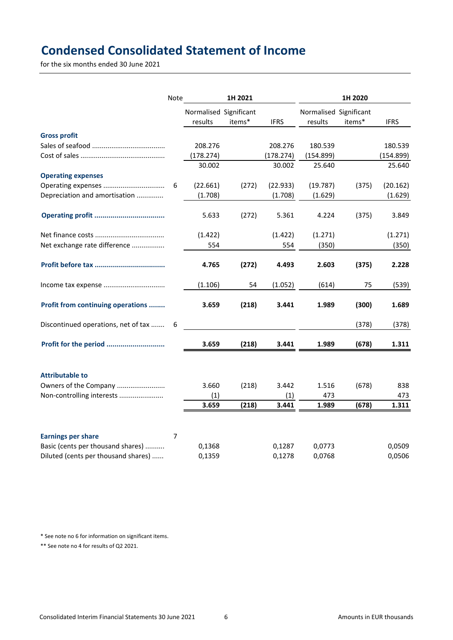# **Condensed Consolidated Statement of Income**

for the six months ended 30 June 2021

|                                     | Note |                        | 1H 2021 |              | 1H 2020                |        |              |  |
|-------------------------------------|------|------------------------|---------|--------------|------------------------|--------|--------------|--|
|                                     |      | Normalised Significant |         |              | Normalised Significant |        |              |  |
|                                     |      | results                | items*  | <b>IFRS</b>  | results                | items* | <b>IFRS</b>  |  |
| <b>Gross profit</b>                 |      |                        |         |              |                        |        |              |  |
|                                     |      | 208.276                |         | 208.276      | 180.539                |        | 180.539      |  |
|                                     |      | (178.274)              |         | (178.274)    | (154.899)              |        | (154.899)    |  |
|                                     |      | 30.002                 |         | 30.002       | 25.640                 |        | 25.640       |  |
| <b>Operating expenses</b>           |      |                        |         |              |                        |        |              |  |
|                                     | 6    | (22.661)               | (272)   | (22.933)     | (19.787)               | (375)  | (20.162)     |  |
| Depreciation and amortisation       |      | (1.708)                |         | (1.708)      | (1.629)                |        | (1.629)      |  |
|                                     |      | 5.633                  | (272)   | 5.361        | 4.224                  | (375)  | 3.849        |  |
|                                     |      | (1.422)                |         | (1.422)      | (1.271)                |        | (1.271)      |  |
| Net exchange rate difference        |      | 554                    |         | 554          | (350)                  |        | (350)        |  |
|                                     |      | 4.765                  | (272)   | 4.493        | 2.603                  | (375)  | 2.228        |  |
|                                     |      | (1.106)                | 54      | (1.052)      | (614)                  | 75     | (539)        |  |
| Profit from continuing operations   |      | 3.659                  | (218)   | 3.441        | 1.989                  | (300)  | 1.689        |  |
| Discontinued operations, net of tax | 6    |                        |         |              |                        | (378)  | (378)        |  |
| Profit for the period               |      | 3.659                  | (218)   | 3.441        | 1.989                  | (678)  | 1.311        |  |
| <b>Attributable to</b>              |      |                        |         |              |                        |        |              |  |
| Owners of the Company               |      | 3.660                  | (218)   | 3.442        | 1.516                  | (678)  | 838          |  |
| Non-controlling interests           |      | (1)<br>3.659           | (218)   | (1)<br>3.441 | 473<br>1.989           | (678)  | 473<br>1.311 |  |
|                                     |      |                        |         |              |                        |        |              |  |
| <b>Earnings per share</b>           | 7    |                        |         |              |                        |        |              |  |
| Basic (cents per thousand shares)   |      | 0,1368                 |         | 0,1287       | 0,0773                 |        | 0,0509       |  |
| Diluted (cents per thousand shares) |      | 0,1359                 |         | 0,1278       | 0,0768                 |        | 0,0506       |  |

\* See note no 6 for information on significant items.

\*\* See note no 4 for results of Q2 2021.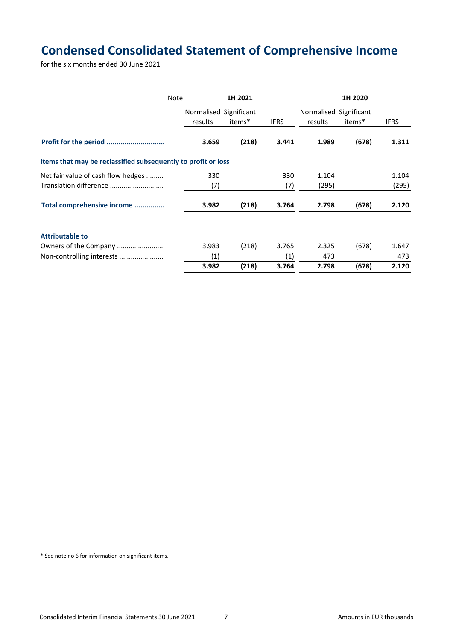# **Condensed Consolidated Statement of Comprehensive Income**

for the six months ended 30 June 2021

| Note                                                          | 1H 2021                           |        | 1H 2020     |                                   |        |             |
|---------------------------------------------------------------|-----------------------------------|--------|-------------|-----------------------------------|--------|-------------|
|                                                               | Normalised Significant<br>results | items* | <b>IFRS</b> | Normalised Significant<br>results | items* | <b>IFRS</b> |
|                                                               |                                   |        |             |                                   |        |             |
|                                                               | 3.659                             | (218)  | 3.441       | 1.989                             | (678)  | 1.311       |
| Items that may be reclassified subsequently to profit or loss |                                   |        |             |                                   |        |             |
| Net fair value of cash flow hedges                            | 330                               |        | 330         | 1.104                             |        | 1.104       |
| Translation difference                                        | (7)                               |        | (7)         | (295)                             |        | (295)       |
| Total comprehensive income                                    | 3.982                             | (218)  | 3.764       | 2.798                             | (678)  | 2.120       |
| <b>Attributable to</b>                                        |                                   |        |             |                                   |        |             |
| Owners of the Company                                         | 3.983                             | (218)  | 3.765       | 2.325                             | (678)  | 1.647       |
| Non-controlling interests                                     | (1)                               |        | (1)         | 473                               |        | 473         |
|                                                               | 3.982                             | (218)  | 3.764       | 2.798                             | (678)  | 2.120       |

\* See note no 6 for information on significant items.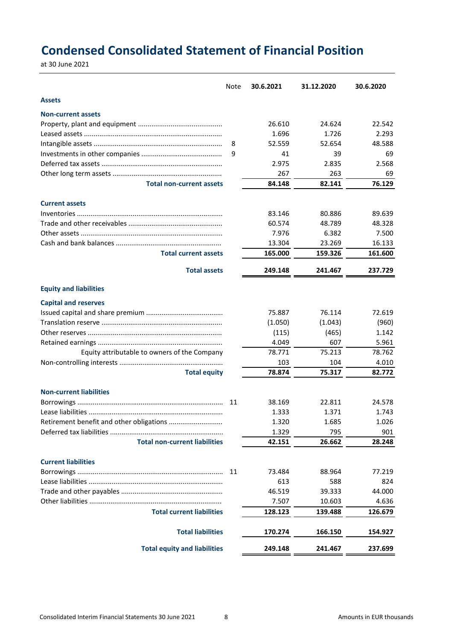# **Condensed Consolidated Statement of Financial Position**

at 30 June 2021

|                                              | <b>Note</b> | 30.6.2021 | 31.12.2020 | 30.6.2020 |
|----------------------------------------------|-------------|-----------|------------|-----------|
| <b>Assets</b>                                |             |           |            |           |
| <b>Non-current assets</b>                    |             |           |            |           |
|                                              |             | 26.610    | 24.624     | 22.542    |
|                                              |             | 1.696     | 1.726      | 2.293     |
|                                              | 8           | 52.559    | 52.654     | 48.588    |
|                                              | 9           | 41        | 39         | 69        |
|                                              |             | 2.975     | 2.835      | 2.568     |
|                                              |             | 267       | 263        | 69        |
| <b>Total non-current assets</b>              |             | 84.148    | 82.141     | 76.129    |
| <b>Current assets</b>                        |             |           |            |           |
|                                              |             | 83.146    | 80.886     | 89.639    |
|                                              |             | 60.574    | 48.789     | 48.328    |
|                                              |             | 7.976     | 6.382      | 7.500     |
|                                              |             | 13.304    | 23.269     | 16.133    |
| <b>Total current assets</b>                  |             | 165.000   | 159.326    | 161.600   |
| <b>Total assets</b>                          |             | 249.148   | 241.467    | 237.729   |
| <b>Equity and liabilities</b>                |             |           |            |           |
| <b>Capital and reserves</b>                  |             |           |            |           |
|                                              |             | 75.887    | 76.114     | 72.619    |
|                                              |             | (1.050)   | (1.043)    | (960)     |
|                                              |             | (115)     | (465)      | 1.142     |
|                                              |             | 4.049     | 607        | 5.961     |
| Equity attributable to owners of the Company |             | 78.771    | 75.213     | 78.762    |
|                                              |             | 103       | 104        | 4.010     |
| <b>Total equity</b>                          |             | 78.874    | 75.317     | 82.772    |
| <b>Non-current liabilities</b>               |             |           |            |           |
|                                              | 11          | 38.169    | 22.811     | 24.578    |
|                                              |             | 1.333     | 1.371      | 1.743     |
|                                              |             | 1.320     | 1.685      | 1.026     |
|                                              |             | 1.329     | 795        | 901       |
| <b>Total non-current liabilities</b>         |             | 42.151    | 26.662     | 28.248    |
| <b>Current liabilities</b>                   |             |           |            |           |
|                                              | 11          | 73.484    | 88.964     | 77.219    |
|                                              |             | 613       | 588        | 824       |
|                                              |             | 46.519    | 39.333     | 44.000    |
|                                              |             | 7.507     | 10.603     | 4.636     |
| <b>Total current liabilities</b>             |             | 128.123   | 139.488    | 126.679   |
| <b>Total liabilities</b>                     |             | 170.274   | 166.150    | 154.927   |
| <b>Total equity and liabilities</b>          |             | 249.148   | 241.467    | 237.699   |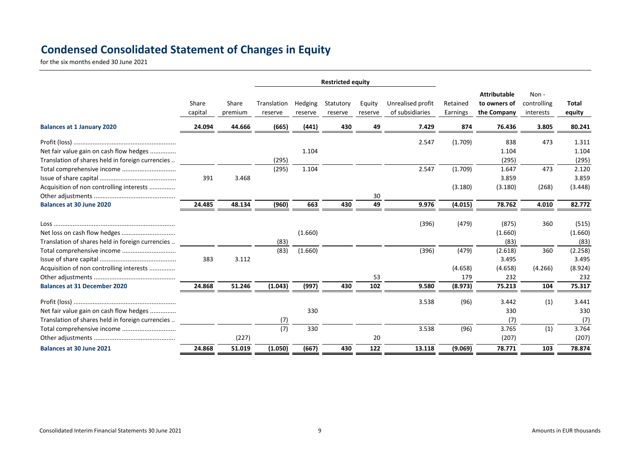# **Condensed Consolidated Statement of Changes in Equity**

for the six months ended 30 June 2021

|                                                  |                  |                  | <b>Restricted equity</b> |                    |                      |                   |                                      |                      |                                                    |                                  |                 |
|--------------------------------------------------|------------------|------------------|--------------------------|--------------------|----------------------|-------------------|--------------------------------------|----------------------|----------------------------------------------------|----------------------------------|-----------------|
|                                                  | Share<br>capital | Share<br>premium | Translation<br>reserve   | Hedging<br>reserve | Statutory<br>reserve | Equity<br>reserve | Unrealised profit<br>of subsidiaries | Retained<br>Earnings | <b>Attributable</b><br>to owners of<br>the Company | Non-<br>controlling<br>interests | Total<br>equity |
| <b>Balances at 1 January 2020</b>                | 24.094           | 44.666           | (665)                    | (441)              | 430                  | 49                | 7.429                                | 874                  | 76.436                                             | 3.805                            | 80.241          |
|                                                  |                  |                  |                          |                    |                      |                   | 2.547                                | (1.709)              | 838                                                | 473                              | 1.311           |
| Net fair value gain on cash flow hedges          |                  |                  |                          | 1.104              |                      |                   |                                      |                      | 1.104                                              |                                  | 1.104           |
| Translation of shares held in foreign currencies |                  |                  | (295)                    |                    |                      |                   |                                      |                      | (295)                                              |                                  | (295)           |
|                                                  |                  |                  | (295)                    | 1.104              |                      |                   | 2.547                                | (1.709)              | 1.647                                              | 473                              | 2.120           |
|                                                  | 391              | 3.468            |                          |                    |                      |                   |                                      |                      | 3.859                                              |                                  | 3.859           |
| Acquisition of non controlling interests         |                  |                  |                          |                    |                      |                   |                                      | (3.180)              | (3.180)                                            | (268)                            | (3.448)         |
|                                                  |                  |                  |                          |                    |                      | 30                |                                      |                      |                                                    |                                  |                 |
| <b>Balances at 30 June 2020</b>                  | 24.485           | 48.134           | (960)                    | 663                | 430                  | 49                | 9.976                                | (4.015)              | 78.762                                             | 4.010                            | 82.772          |
|                                                  |                  |                  |                          |                    |                      |                   | (396)                                | (479)                | (875)                                              | 360                              | (515)           |
| Net loss on cash flow hedges                     |                  |                  |                          | (1.660)            |                      |                   |                                      |                      | (1.660)                                            |                                  | (1.660)         |
| Translation of shares held in foreign currencies |                  |                  | (83)                     |                    |                      |                   |                                      |                      | (83)                                               |                                  | (83)            |
|                                                  |                  |                  | (83)                     | (1.660)            |                      |                   | (396)                                | (479)                | (2.618)                                            | 360                              | (2.258)         |
|                                                  | 383              | 3.112            |                          |                    |                      |                   |                                      |                      | 3.495                                              |                                  | 3.495           |
| Acquisition of non controlling interests         |                  |                  |                          |                    |                      |                   |                                      | (4.658)              | (4.658)                                            | (4.266)                          | (8.924)         |
|                                                  |                  |                  |                          |                    |                      | 53                |                                      | 179                  | 232                                                |                                  | 232             |
| <b>Balances at 31 December 2020</b>              | 24.868           | 51.246           | (1.043)                  | (997)              | 430                  | 102               | 9.580                                | (8.973)              | 75.213                                             | 104                              | 75.317          |
|                                                  |                  |                  |                          |                    |                      |                   | 3.538                                | (96)                 | 3.442                                              | (1)                              | 3.441           |
| Net fair value gain on cash flow hedges          |                  |                  |                          | 330                |                      |                   |                                      |                      | 330                                                |                                  | 330             |
| Translation of shares held in foreign currencies |                  |                  | (7)                      |                    |                      |                   |                                      |                      | (7)                                                |                                  | (7)             |
|                                                  |                  |                  | (7)                      | 330                |                      |                   | 3.538                                | (96)                 | 3.765                                              | (1)                              | 3.764           |
|                                                  |                  | (227)            |                          |                    |                      | 20                |                                      |                      | (207)                                              |                                  | (207)           |
| <b>Balances at 30 June 2021</b>                  | 24.868           | 51.019           | (1.050)                  | (667)              | 430                  | 122               | 13.118                               | (9.069)              | 78.771                                             | 103                              | 78.874          |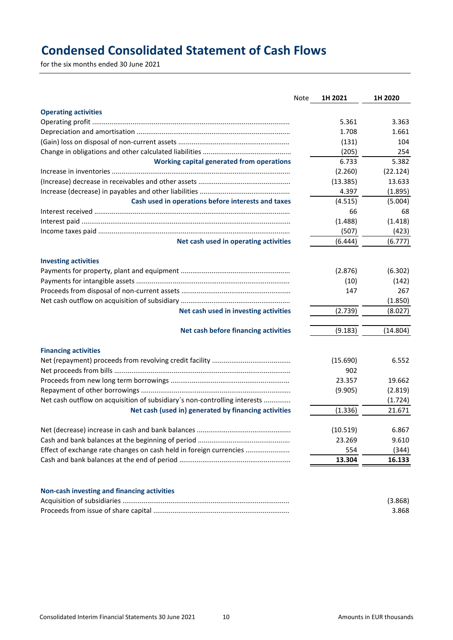# **Condensed Consolidated Statement of Cash Flows**

for the six months ended 30 June 2021

|                                                                           | Note | 1H 2021  | 1H 2020  |
|---------------------------------------------------------------------------|------|----------|----------|
| <b>Operating activities</b>                                               |      |          |          |
|                                                                           |      | 5.361    | 3.363    |
|                                                                           |      | 1.708    | 1.661    |
|                                                                           |      | (131)    | 104      |
|                                                                           |      | (205)    | 254      |
| <b>Working capital generated from operations</b>                          |      | 6.733    | 5.382    |
|                                                                           |      | (2.260)  | (22.124) |
|                                                                           |      | (13.385) | 13.633   |
|                                                                           |      | 4.397    | (1.895)  |
| Cash used in operations before interests and taxes                        |      | (4.515)  | (5.004)  |
|                                                                           |      | 66       | 68       |
|                                                                           |      | (1.488)  | (1.418)  |
|                                                                           |      | (507)    | (423)    |
| Net cash used in operating activities                                     |      | (6.444)  | (6.777)  |
| <b>Investing activities</b>                                               |      |          |          |
|                                                                           |      | (2.876)  | (6.302)  |
|                                                                           |      | (10)     | (142)    |
|                                                                           |      | 147      | 267      |
|                                                                           |      |          | (1.850)  |
| Net cash used in investing activities                                     |      | (2.739)  | (8.027)  |
| Net cash before financing activities                                      |      | (9.183)  | (14.804) |
| <b>Financing activities</b>                                               |      |          |          |
|                                                                           |      | (15.690) | 6.552    |
|                                                                           |      | 902      |          |
|                                                                           |      | 23.357   | 19.662   |
|                                                                           |      | (9.905)  | (2.819)  |
| Net cash outflow on acquisition of subsidiary's non-controlling interests |      |          | (1.724)  |
| Net cash (used in) generated by financing activities                      |      | (1.336)  | 21.671   |
|                                                                           |      | (10.519) | 6.867    |
|                                                                           |      | 23.269   | 9.610    |
| Effect of exchange rate changes on cash held in foreign currencies        |      | 554      | (344)    |
|                                                                           |      | 13.304   | 16.133   |
|                                                                           |      |          |          |
| Non-cash investing and financing activities                               |      |          |          |
|                                                                           |      |          | (3.868)  |
|                                                                           |      |          | 3.868    |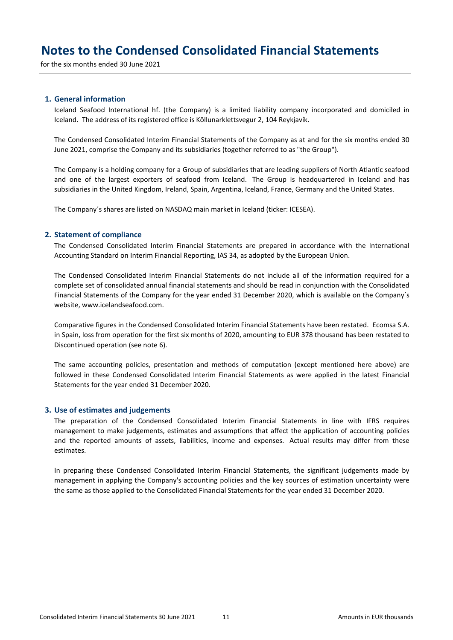for the six months ended 30 June 2021

### **1. General information**

Iceland Seafood International hf. (the Company) is a limited liability company incorporated and domiciled in Iceland. The address of its registered office is Köllunarklettsvegur 2, 104 Reykjavík.

The Condensed Consolidated Interim Financial Statements of the Company as at and for the six months ended 30 June 2021, comprise the Company and its subsidiaries (together referred to as "the Group").

The Company is a holding company for a Group of subsidiaries that are leading suppliers of North Atlantic seafood and one of the largest exporters of seafood from Iceland. The Group is headquartered in Iceland and has subsidiaries in the United Kingdom, Ireland, Spain, Argentina, Iceland, France, Germany and the United States.

The Company´s shares are listed on NASDAQ main market in Iceland (ticker: ICESEA).

#### **2. Statement of compliance**

The Condensed Consolidated Interim Financial Statements are prepared in accordance with the International Accounting Standard on Interim Financial Reporting, IAS 34, as adopted by the European Union.

The Condensed Consolidated Interim Financial Statements do not include all of the information required for a complete set of consolidated annual financial statements and should be read in conjunction with the Consolidated Financial Statements of the Company for the year ended 31 December 2020, which is available on the Company´s website, www.icelandseafood.com.

Comparative figures in the Condensed Consolidated Interim Financial Statements have been restated. Ecomsa S.A. in Spain, loss from operation for the first six months of 2020, amounting to EUR 378 thousand has been restated to Discontinued operation (see note 6).

The same accounting policies, presentation and methods of computation (except mentioned here above) are followed in these Condensed Consolidated Interim Financial Statements as were applied in the latest Financial Statements for the year ended 31 December 2020.

#### **3. Use of estimates and judgements**

The preparation of the Condensed Consolidated Interim Financial Statements in line with IFRS requires management to make judgements, estimates and assumptions that affect the application of accounting policies and the reported amounts of assets, liabilities, income and expenses. Actual results may differ from these estimates.

In preparing these Condensed Consolidated Interim Financial Statements, the significant judgements made by management in applying the Company's accounting policies and the key sources of estimation uncertainty were the same as those applied to the Consolidated Financial Statements for the year ended 31 December 2020.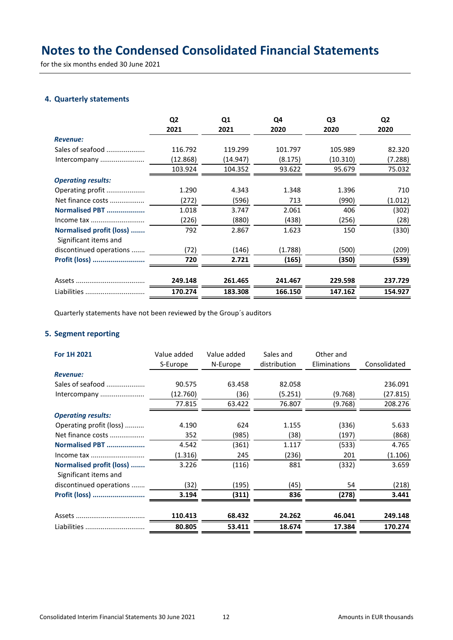for the six months ended 30 June 2021

### **4. Quarterly statements**

|                                                   | Q <sub>2</sub><br>2021 | Q <sub>1</sub><br>2021 | Q4<br>2020 | Q <sub>3</sub><br>2020 | Q <sub>2</sub><br>2020 |
|---------------------------------------------------|------------------------|------------------------|------------|------------------------|------------------------|
| <b>Revenue:</b>                                   |                        |                        |            |                        |                        |
| Sales of seafood                                  | 116.792                | 119.299                | 101.797    | 105.989                | 82.320                 |
| Intercompany                                      | (12.868)               | (14.947)               | (8.175)    | (10.310)               | (7.288)                |
|                                                   | 103.924                | 104.352                | 93.622     | 95.679                 | 75.032                 |
| <b>Operating results:</b>                         |                        |                        |            |                        |                        |
| Operating profit                                  | 1.290                  | 4.343                  | 1.348      | 1.396                  | 710                    |
| Net finance costs                                 | (272)                  | (596)                  | 713        | (990)                  | (1.012)                |
| Normalised PBT                                    | 1.018                  | 3.747                  | 2.061      | 406                    | (302)                  |
| Income tax                                        | (226)                  | (880)                  | (438)      | (256)                  | (28)                   |
| Normalised profit (loss)<br>Significant items and | 792                    | 2.867                  | 1.623      | 150                    | (330)                  |
| discontinued operations                           | (72)                   | (146)                  | (1.788)    | (500)                  | (209)                  |
| Profit (loss)                                     | 720                    | 2.721                  | (165)      | (350)                  | (539)                  |
|                                                   | 249.148                | 261.465                | 241.467    | 229.598                | 237.729                |
| Liabilities                                       | 170.274                | 183.308                | 166.150    | 147.162                | 154.927                |

Quarterly statements have not been reviewed by the Group´s auditors

## **5. Segment reporting**

| For 1H 2021                                       | Value added | Value added | Sales and<br>distribution | Other and<br>Eliminations | Consolidated |
|---------------------------------------------------|-------------|-------------|---------------------------|---------------------------|--------------|
|                                                   | S-Europe    | N-Europe    |                           |                           |              |
| <b>Revenue:</b>                                   |             |             |                           |                           |              |
| Sales of seafood                                  | 90.575      | 63.458      | 82.058                    |                           | 236.091      |
| Intercompany                                      | (12.760)    | (36)        | (5.251)                   | (9.768)                   | (27.815)     |
|                                                   | 77.815      | 63.422      | 76.807                    | (9.768)                   | 208.276      |
| <b>Operating results:</b>                         |             |             |                           |                           |              |
| Operating profit (loss)                           | 4.190       | 624         | 1.155                     | (336)                     | 5.633        |
| Net finance costs                                 | 352         | (985)       | (38)                      | (197)                     | (868)        |
| Normalised PBT                                    | 4.542       | (361)       | 1.117                     | (533)                     | 4.765        |
| Income tax                                        | (1.316)     | 245         | (236)                     | 201                       | (1.106)      |
| Normalised profit (loss)<br>Significant items and | 3.226       | (116)       | 881                       | (332)                     | 3.659        |
| discontinued operations                           | (32)        | (195)       | (45)                      | 54                        | (218)        |
| Profit (loss)                                     | 3.194       | (311)       | 836                       | (278)                     | 3.441        |
|                                                   | 110.413     | 68.432      | 24.262                    | 46.041                    | 249.148      |
| Liabilities                                       | 80.805      | 53.411      | 18.674                    | 17.384                    | 170.274      |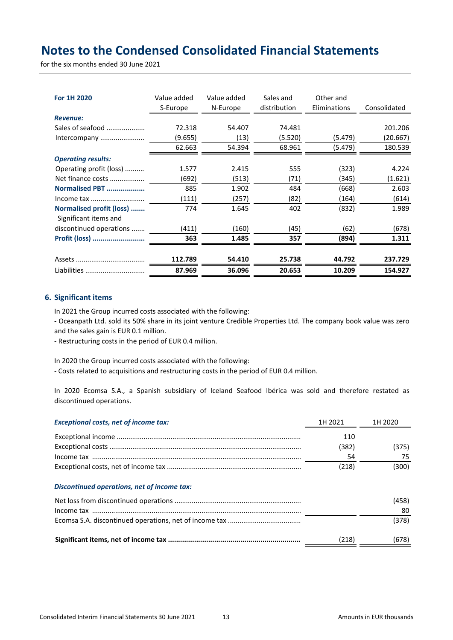for the six months ended 30 June 2021

| For 1H 2020                                       | Value added<br>S-Europe | Value added<br>N-Europe | Sales and<br>distribution | Other and<br>Eliminations | Consolidated |
|---------------------------------------------------|-------------------------|-------------------------|---------------------------|---------------------------|--------------|
| <b>Revenue:</b>                                   |                         |                         |                           |                           |              |
| Sales of seafood                                  | 72.318                  | 54.407                  | 74.481                    |                           | 201.206      |
| Intercompany                                      | (9.655)                 | (13)                    | (5.520)                   | (5.479)                   | (20.667)     |
|                                                   | 62.663                  | 54.394                  | 68.961                    | (5.479)                   | 180.539      |
| <b>Operating results:</b>                         |                         |                         |                           |                           |              |
| Operating profit (loss)                           | 1.577                   | 2.415                   | 555                       | (323)                     | 4.224        |
| Net finance costs                                 | (692)                   | (513)                   | (71)                      | (345)                     | (1.621)      |
| Normalised PBT                                    | 885                     | 1.902                   | 484                       | (668)                     | 2.603        |
| Income tax                                        | (111)                   | (257)                   | (82)                      | (164)                     | (614)        |
| Normalised profit (loss)<br>Significant items and | 774                     | 1.645                   | 402                       | (832)                     | 1.989        |
| discontinued operations                           | (411)                   | (160)                   | (45)                      | (62)                      | (678)        |
| Profit (loss)                                     | 363                     | 1.485                   | 357                       | (894)                     | 1.311        |
|                                                   | 112.789                 | 54.410                  | 25.738                    | 44.792                    | 237.729      |
|                                                   |                         |                         |                           |                           |              |
| Liabilities                                       | 87.969                  | 36.096                  | 20.653                    | 10.209                    | 154.927      |

### **6. Significant items**

In 2021 the Group incurred costs associated with the following:

- Oceanpath Ltd. sold its 50% share in its joint venture Credible Properties Ltd. The company book value was zero and the sales gain is EUR 0.1 million.

- Restructuring costs in the period of EUR 0.4 million.

In 2020 the Group incurred costs associated with the following:

- Costs related to acquisitions and restructuring costs in the period of EUR 0.4 million.

In 2020 Ecomsa S.A., a Spanish subsidiary of Iceland Seafood Ibérica was sold and therefore restated as discontinued operations.

| <b>Exceptional costs, net of income tax:</b> | 1H 2021 | 1H 2020 |
|----------------------------------------------|---------|---------|
|                                              | 110     |         |
|                                              | (382)   | (375)   |
|                                              | 54      | 75      |
|                                              | (218)   | (300)   |
| Discontinued operations, net of income tax:  |         |         |
|                                              |         | (458)   |
|                                              |         | 80      |
|                                              |         | (378)   |
|                                              | (218)   | (678)   |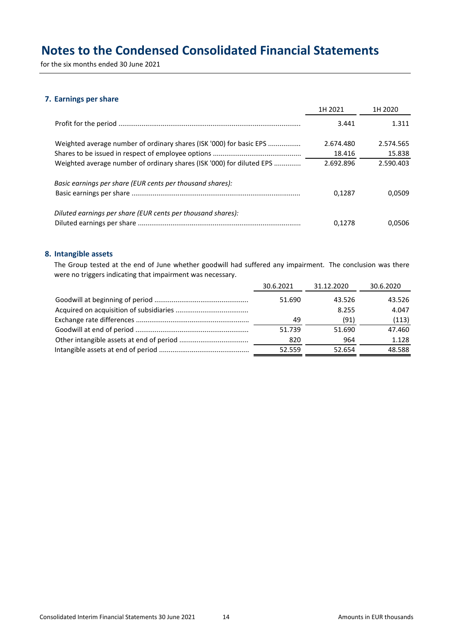for the six months ended 30 June 2021

### **7. Earnings per share**

|                                                                       | 1H 2021   | 1H 2020   |
|-----------------------------------------------------------------------|-----------|-----------|
|                                                                       | 3.441     | 1.311     |
| Weighted average number of ordinary shares (ISK '000) for basic EPS   | 2.674.480 | 2.574.565 |
|                                                                       | 18.416    | 15.838    |
| Weighted average number of ordinary shares (ISK '000) for diluted EPS | 2.692.896 | 2.590.403 |
| Basic earnings per share (EUR cents per thousand shares):             |           |           |
|                                                                       | 0.1287    | 0.0509    |
| Diluted earnings per share (EUR cents per thousand shares):           |           |           |
|                                                                       | 0.1278    | 0.0506    |

### **8. Intangible assets**

The Group tested at the end of June whether goodwill had suffered any impairment. The conclusion was there were no triggers indicating that impairment was necessary.

| 30.6.2021 | 31.12.2020 | 30.6.2020 |
|-----------|------------|-----------|
| 51.690    | 43.526     | 43.526    |
|           | 8.255      | 4.047     |
| 49        | (91)       | (113)     |
| 51.739    | 51.690     | 47.460    |
| 820       | 964        | 1.128     |
| 52.559    | 52.654     | 48.588    |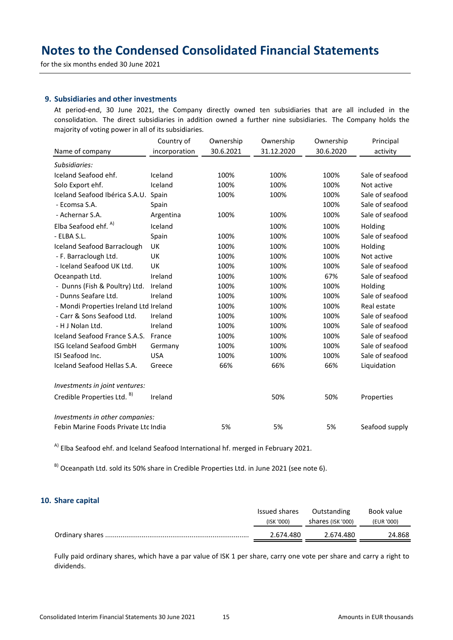for the six months ended 30 June 2021

### **9. Subsidiaries and other investments**

At period-end, 30 June 2021, the Company directly owned ten subsidiaries that are all included in the consolidation. The direct subsidiaries in addition owned a further nine subsidiaries. The Company holds the majority of voting power in all of its subsidiaries.

|                                        | Country of    | Ownership | Ownership  | Ownership | Principal       |
|----------------------------------------|---------------|-----------|------------|-----------|-----------------|
| Name of company                        | incorporation | 30.6.2021 | 31.12.2020 | 30.6.2020 | activity        |
| Subsidiaries:                          |               |           |            |           |                 |
| Iceland Seafood ehf.                   | Iceland       | 100%      | 100%       | 100%      | Sale of seafood |
| Solo Export ehf.                       | Iceland       | 100%      | 100%       | 100%      | Not active      |
| Iceland Seafood Ibérica S.A.U.         | Spain         | 100%      | 100%       | 100%      | Sale of seafood |
| - Ecomsa S.A.                          | Spain         |           |            | 100%      | Sale of seafood |
| - Achernar S.A.                        | Argentina     | 100%      | 100%       | 100%      | Sale of seafood |
| Elba Seafood ehf. <sup>A)</sup>        | Iceland       |           | 100%       | 100%      | Holding         |
| - ELBA S.L.                            | Spain         | 100%      | 100%       | 100%      | Sale of seafood |
| Iceland Seafood Barraclough            | UK            | 100%      | 100%       | 100%      | Holding         |
| - F. Barraclough Ltd.                  | UK            | 100%      | 100%       | 100%      | Not active      |
| - Iceland Seafood UK Ltd.              | <b>UK</b>     | 100%      | 100%       | 100%      | Sale of seafood |
| Oceanpath Ltd.                         | Ireland       | 100%      | 100%       | 67%       | Sale of seafood |
| - Dunns (Fish & Poultry) Ltd.          | Ireland       | 100%      | 100%       | 100%      | Holding         |
| - Dunns Seafare Ltd.                   | Ireland       | 100%      | 100%       | 100%      | Sale of seafood |
| - Mondi Properties Ireland Ltd Ireland |               | 100%      | 100%       | 100%      | Real estate     |
| - Carr & Sons Seafood Ltd.             | Ireland       | 100%      | 100%       | 100%      | Sale of seafood |
| - H J Nolan Ltd.                       | Ireland       | 100%      | 100%       | 100%      | Sale of seafood |
| Iceland Seafood France S.A.S.          | France        | 100%      | 100%       | 100%      | Sale of seafood |
| <b>ISG Iceland Seafood GmbH</b>        | Germany       | 100%      | 100%       | 100%      | Sale of seafood |
| ISI Seafood Inc.                       | <b>USA</b>    | 100%      | 100%       | 100%      | Sale of seafood |
| Iceland Seafood Hellas S.A.            | Greece        | 66%       | 66%        | 66%       | Liquidation     |
| Investments in joint ventures:         |               |           |            |           |                 |
| Credible Properties Ltd. <sup>B)</sup> | Ireland       |           | 50%        | 50%       | Properties      |
| Investments in other companies:        |               |           |            |           |                 |
| Febin Marine Foods Private Ltd India   |               | 5%        | 5%         | 5%        | Seafood supply  |

<sup>A)</sup> Elba Seafood ehf. and Iceland Seafood International hf. merged in February 2021.

B) Oceanpath Ltd. sold its 50% share in Credible Properties Ltd. in June 2021 (see note 6).

### **10. Share capital**

| Issued shares | Outstanding       | Book value |
|---------------|-------------------|------------|
| (ISK '000)    | shares (ISK '000) | (EUR '000) |
| 2.674.480     | 2.674.480         | 24.868     |

Fully paid ordinary shares, which have a par value of ISK 1 per share, carry one vote per share and carry a right to dividends.